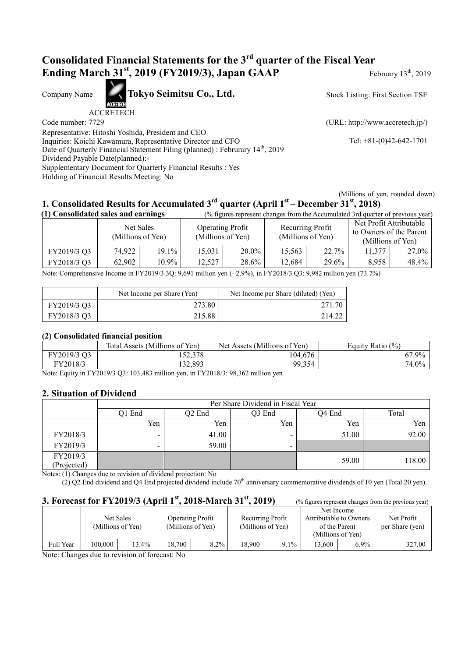## **Consolidated Financial Statements for the 3rd quarter of the Fiscal Year Ending March 31<sup>st</sup>, 2019 (FY2019/3), Japan GAAP** February 13<sup>th</sup>, 2019

Company Name **Tokyo Seimitsu Co., Ltd.** 

ACCRETECH

Stock Listing: First Section TSE

Code number: 7729 (URL: http://www.accretech.jp/)

Representative: Hitoshi Yoshida, President and CEO Inquiries: Koichi Kawamura, Representative Director and CFO Tel: +81-(0)42-642-1701 Date of Quarterly Financial Statement Filing (planned) : Februrary 14<sup>th</sup>, 2019 Dividend Payable Date(planned):- Supplementary Document for Quarterly Financial Results : Yes Holding of Financial Results Meeting: No

(Millions of yen, rounded down)

# **1. Consolidated Results for Accumulated 3rd quarter (April 1st – December 31st, 2018)**

| (1) Consolidated sales and earnings |                                |          | (% figures represent changes from the Accumulated 3rd quarter of previous year) |       |                                       |       |                                                                         |       |
|-------------------------------------|--------------------------------|----------|---------------------------------------------------------------------------------|-------|---------------------------------------|-------|-------------------------------------------------------------------------|-------|
|                                     | Net Sales<br>(Millions of Yen) |          | <b>Operating Profit</b><br>(Millions of Yen)                                    |       | Recurring Profit<br>(Millions of Yen) |       | Net Profit Attributable<br>to Owners of the Parent<br>(Millions of Yen) |       |
| FY2019/3 Q3                         | 74,922                         | 19.1%    | 15,031                                                                          | 20.0% | 15,563                                | 22.7% | 11,377                                                                  | 27.0% |
| FY2018/3 Q3                         | 62,902                         | $10.9\%$ | 12,527                                                                          | 28.6% | 12,684                                | 29.6% | 8,958                                                                   | 48.4% |

Note: Comprehensive Income in FY2019/3 3Q: 9,691 million yen (- 2.9%), in FY2018/3 Q3: 9,982 million yen (73.7%)

|             | Net Income per Share (Yen) | Net Income per Share (diluted) (Yen) |
|-------------|----------------------------|--------------------------------------|
| FY2019/3 Q3 | 273.80                     | 271.70                               |
| FY2018/3 Q3 | 215.88                     | 214.22                               |

#### **(2) Consolidated financial position**

|             | Total Assets (Millions of Yen) | Net Assets (Millions of Yen) | Equity Ratio (%) |
|-------------|--------------------------------|------------------------------|------------------|
| FY2019/3 Q3 | 152,378                        | 104,676                      | 67.9%            |
| FY2018/3    | 132,893                        | 99,354                       | 74.0%            |

Note: Equity in FY2019/3 Q3: 103,483 million yen, in FY2018/3: 98,362 million yen

#### **2. Situation of Dividend**

|             | Per Share Dividend in Fiscal Year |                    |                          |        |        |  |  |
|-------------|-----------------------------------|--------------------|--------------------------|--------|--------|--|--|
|             | Q1 End                            | Q <sub>2</sub> End | O3 End                   | O4 End | Total  |  |  |
|             | Yen                               | Yen                | Yen                      | Yen    | Yen    |  |  |
| FY2018/3    | $\overline{\phantom{0}}$          | 41.00              | $\overline{\phantom{a}}$ | 51.00  | 92.00  |  |  |
| FY2019/3    | $\overline{\phantom{0}}$          | 59.00              | $\overline{\phantom{0}}$ |        |        |  |  |
| FY2019/3    |                                   |                    |                          | 59.00  | 118.00 |  |  |
| (Projected) |                                   |                    |                          |        |        |  |  |

Notes: (1) Changes due to revision of dividend projection: No

 $(2)$  Q2 End dividend and Q4 End projected dividend include 70<sup>th</sup> anniversary commemorative dividends of 10 yen (Total 20 yen).

### **3. Forecast for FY2019/3 (April 1<sup>st</sup>, 2018-March 31<sup>st</sup>, 2019)** (% figures represent changes from the previous year)

|                                        |         | Net Sales<br>(Millions of Yen) |                      | <b>Operating Profit</b><br>(Millions of Yen) |        | Recurring Profit<br>(Millions of Yen) | (Millions of Yen) | Net Income<br>Attributable to Owners<br>of the Parent | Net Profit<br>per Share (yen) |
|----------------------------------------|---------|--------------------------------|----------------------|----------------------------------------------|--------|---------------------------------------|-------------------|-------------------------------------------------------|-------------------------------|
| Full Year                              | 100.000 | $13.4\%$                       | 18.700               | 8.2%                                         | 18.900 | 9.1%                                  | 3.600             | $6.9\%$                                               | 327.00                        |
| $\mathbf{v}$ $\mathbf{v}$ $\mathbf{v}$ |         | $\sim$ $\sim$                  | $\sim$ $\sim$ $\sim$ |                                              |        |                                       |                   |                                                       |                               |

Note: Changes due to revision of forecast: No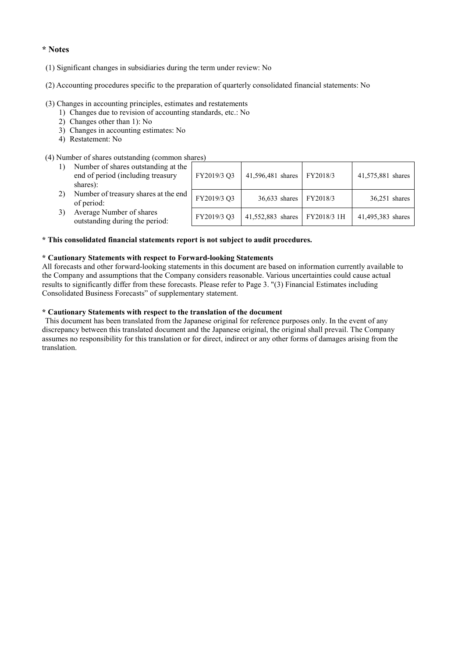#### **\* Notes**

- (1) Significant changes in subsidiaries during the term under review: No
- (2) Accounting procedures specific to the preparation of quarterly consolidated financial statements: No

#### (3) Changes in accounting principles, estimates and restatements

- 1) Changes due to revision of accounting standards, etc.: No
- 2) Changes other than 1): No
- 3) Changes in accounting estimates: No
- 4) Restatement: No

#### (4) Number of shares outstanding (common shares)

| Number of shares outstanding at the<br>end of period (including treasury<br>shares): | FY2019/3 Q3 | 41,596,481 shares | FY2018/3    | 41,575,881 shares |
|--------------------------------------------------------------------------------------|-------------|-------------------|-------------|-------------------|
| Number of treasury shares at the end<br>of period:                                   | FY2019/3 Q3 | $36,633$ shares   | FY2018/3    | $36,251$ shares   |
| Average Number of shares<br>outstanding during the period:                           | FY2019/3 Q3 | 41,552,883 shares | FY2018/3 1H | 41,495,383 shares |

#### **\* This consolidated financial statements report is not subject to audit procedures.**

#### **\* Cautionary Statements with respect to Forward-looking Statements**

All forecasts and other forward-looking statements in this document are based on information currently available to the Company and assumptions that the Company considers reasonable. Various uncertainties could cause actual results to significantly differ from these forecasts. Please refer to Page 3. "(3) Financial Estimates including Consolidated Business Forecasts" of supplementary statement.

#### **\* Cautionary Statements with respect to the translation of the document**

This document has been translated from the Japanese original for reference purposes only. In the event of any discrepancy between this translated document and the Japanese original, the original shall prevail. The Company assumes no responsibility for this translation or for direct, indirect or any other forms of damages arising from the translation.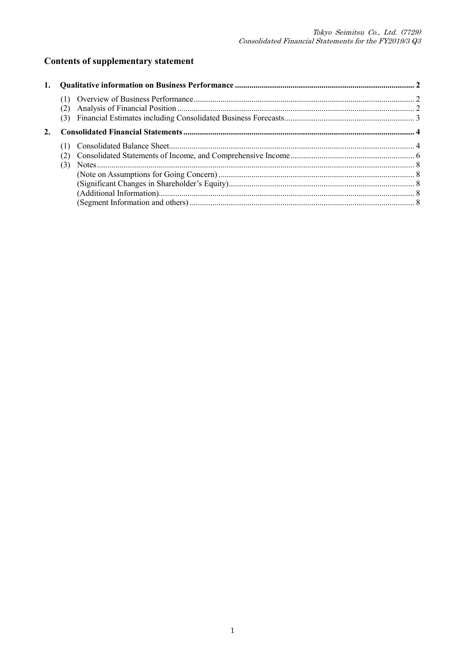## **Contents of supplementary statement**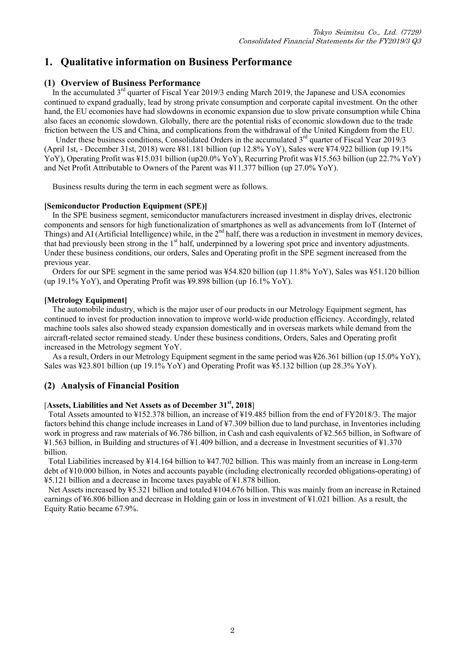## **1. Qualitative information on Business Performance**

#### **(1) Overview of Business Performance**

In the accumulated  $3^{rd}$  quarter of Fiscal Year 2019/3 ending March 2019, the Japanese and USA economies continued to expand gradually, lead by strong private consumption and corporate capital investment. On the other hand, the EU ecomonies have had slowdowns in economic expansion due to slow private consumption while China also faces an economic slowdown. Globally, there are the potential risks of economic slowdown due to the trade friction between the US and China, and complications from the withdrawal of the United Kingdom from the EU.

Under these business conditions, Consolidated Orders in the accumulated 3<sup>rd</sup> quarter of Fiscal Year 2019/3 (April 1st, - December 31st, 2018) were ¥81.181 billion (up 12.8% YoY), Sales were ¥74.922 billion (up 19.1% YoY), Operating Profit was ¥15.031 billion (up20.0% YoY), Recurring Profit was ¥15.563 billion (up 22.7% YoY) and Net Profit Attributable to Owners of the Parent was ¥11.377 billion (up 27.0% YoY).

Business results during the term in each segment were as follows.

#### **[Semiconductor Production Equipment (SPE)]**

In the SPE business segment, semiconductor manufacturers increased investment in display drives, electronic components and sensors for high functionalization of smartphones as well as advancements from IoT (Internet of Things) and AI (Artificial Intelligence) while, in the  $2<sup>nd</sup>$  half, there was a reduction in investment in memory devices, that had previously been strong in the  $1<sup>st</sup>$  half, underpinned by a lowering spot price and inventory adjustments. Under these business conditions, our orders, Sales and Operating profit in the SPE segment increased from the previous year.

Orders for our SPE segment in the same period was ¥54.820 billion (up 11.8% YoY), Sales was ¥51.120 billion (up 19.1% YoY), and Operating Profit was ¥9.898 billion (up 16.1% YoY).

#### **[Metrology Equipment]**

The automobile industry, which is the major user of our products in our Metrology Equipment segment, has continued to invest for production innovation to improve world-wide production efficiency. Accordingly, related machine tools sales also showed steady expansion domestically and in overseas markets while demand from the aircraft-related sector remained steady. Under these business conditions, Orders, Sales and Operating profit increased in the Metrology segment YoY.

As a result, Orders in our Metrology Equipment segment in the same period was ¥26.361 billion (up 15.0% YoY), Sales was ¥23.801 billion (up 19.1% YoY) and Operating Profit was ¥5.132 billion (up 28.3% YoY).

#### **(2) Analysis of Financial Position**

#### [**Assets, Liabilities and Net Assets as of December 31st, 2018**]

Total Assets amounted to ¥152.378 billion, an increase of ¥19.485 billion from the end of FY2018/3. The major factors behind this change include increases in Land of ¥7.309 billion due to land purchase, in Inventories including work in progress and raw materials of ¥6.786 billion, in Cash and cash equivalents of ¥2.565 billion, in Software of ¥1.563 billion, in Building and structures of ¥1.409 billion, and a decrease in Investment securities of ¥1.370 billion.

Total Liabilities increased by ¥14.164 billion to ¥47.702 billion. This was mainly from an increase in Long-term debt of ¥10.000 billion, in Notes and accounts payable (including electronically recorded obligations-operating) of ¥5.121 billion and a decrease in Income taxes payable of ¥1.878 billion.

Net Assets increased by ¥5.321 billion and totaled ¥104.676 billion. This was mainly from an increase in Retained earnings of ¥6.806 billion and decrease in Holding gain or loss in investment of ¥1.021 billion. As a result, the Equity Ratio became 67.9%.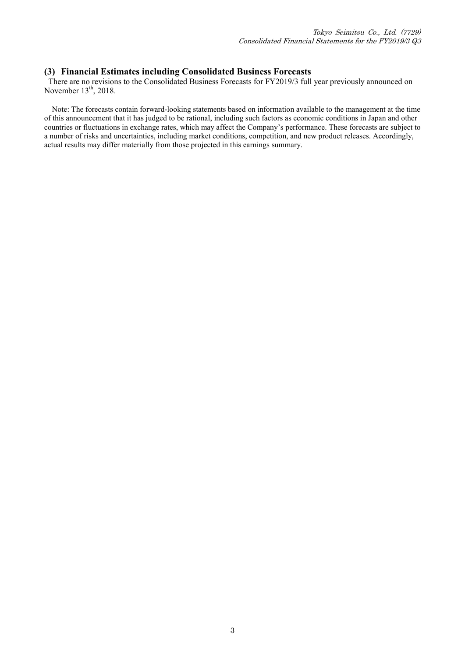#### **(3) Financial Estimates including Consolidated Business Forecasts**

There are no revisions to the Consolidated Business Forecasts for FY2019/3 full year previously announced on November  $13<sup>th</sup>$ , 2018.

Note: The forecasts contain forward-looking statements based on information available to the management at the time of this announcement that it has judged to be rational, including such factors as economic conditions in Japan and other countries or fluctuations in exchange rates, which may affect the Company's performance. These forecasts are subject to a number of risks and uncertainties, including market conditions, competition, and new product releases. Accordingly, actual results may differ materially from those projected in this earnings summary.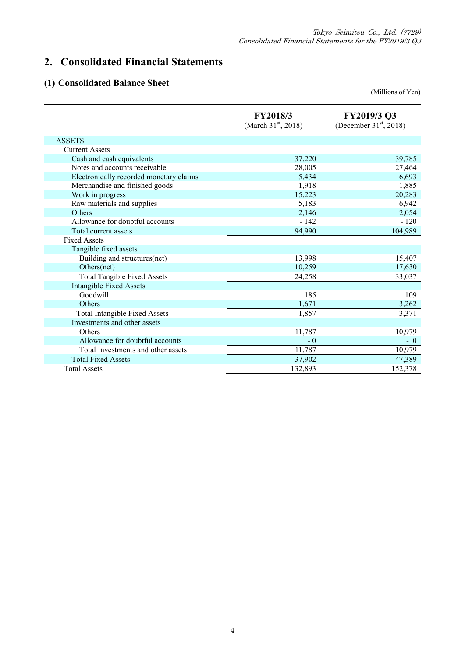## **2. Consolidated Financial Statements**

## **(1) Consolidated Balance Sheet**

(Millions of Yen)

|                                         | FY2018/3<br>(March $31^{\rm st}$ , 2018) | FY2019/3 Q3<br>(December $31st$ , 2018) |
|-----------------------------------------|------------------------------------------|-----------------------------------------|
| <b>ASSETS</b>                           |                                          |                                         |
| <b>Current Assets</b>                   |                                          |                                         |
| Cash and cash equivalents               | 37,220                                   | 39,785                                  |
| Notes and accounts receivable           | 28,005                                   | 27,464                                  |
| Electronically recorded monetary claims | 5,434                                    | 6,693                                   |
| Merchandise and finished goods          | 1,918                                    | 1,885                                   |
| Work in progress                        | 15,223                                   | 20,283                                  |
| Raw materials and supplies              | 5,183                                    | 6,942                                   |
| <b>Others</b>                           | 2,146                                    | 2,054                                   |
| Allowance for doubtful accounts         | $-142$                                   | $-120$                                  |
| Total current assets                    | 94,990                                   | 104,989                                 |
| <b>Fixed Assets</b>                     |                                          |                                         |
| Tangible fixed assets                   |                                          |                                         |
| Building and structures(net)            | 13,998                                   | 15,407                                  |
| Others(net)                             | 10,259                                   | 17,630                                  |
| <b>Total Tangible Fixed Assets</b>      | 24,258                                   | 33,037                                  |
| <b>Intangible Fixed Assets</b>          |                                          |                                         |
| Goodwill                                | 185                                      | 109                                     |
| Others                                  | 1,671                                    | 3,262                                   |
| <b>Total Intangible Fixed Assets</b>    | 1,857                                    | 3,371                                   |
| Investments and other assets            |                                          |                                         |
| Others                                  | 11,787                                   | 10,979                                  |
| Allowance for doubtful accounts         | $-0$                                     | $-0$                                    |
| Total Investments and other assets      | 11,787                                   | 10,979                                  |
| <b>Total Fixed Assets</b>               | 37,902                                   | 47,389                                  |
| <b>Total Assets</b>                     | 132,893                                  | 152,378                                 |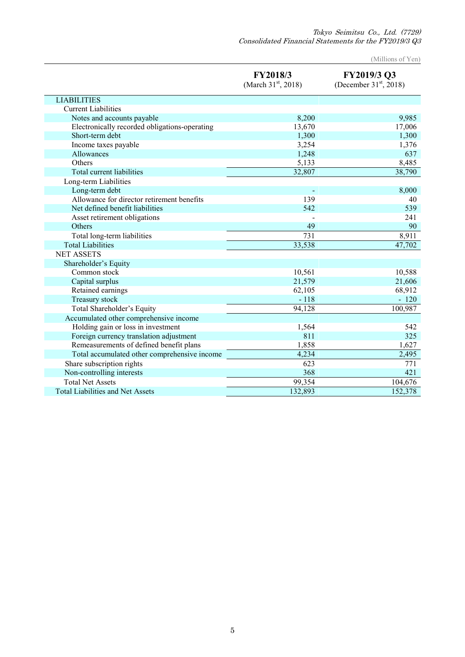Tokyo Seimitsu Co., Ltd. (7729) Consolidated Financial Statements for the FY2019/3 Q3

(Millions of Yen)

|                                               | FY2018/3<br>(March $31st$ , 2018) | FY2019/3 Q3<br>(December $31st$ , 2018) |
|-----------------------------------------------|-----------------------------------|-----------------------------------------|
| <b>LIABILITIES</b>                            |                                   |                                         |
| <b>Current Liabilities</b>                    |                                   |                                         |
| Notes and accounts payable                    | 8,200                             | 9,985                                   |
| Electronically recorded obligations-operating | 13,670                            | 17,006                                  |
| Short-term debt                               | 1,300                             | 1,300                                   |
| Income taxes payable                          | 3,254                             | 1,376                                   |
| Allowances                                    | 1,248                             | 637                                     |
| Others                                        | 5,133                             | 8,485                                   |
| Total current liabilities                     | 32,807                            | 38,790                                  |
| Long-term Liabilities                         |                                   |                                         |
| Long-term debt                                |                                   | 8,000                                   |
| Allowance for director retirement benefits    | 139                               | 40                                      |
| Net defined benefit liabilities               | 542                               | 539                                     |
| Asset retirement obligations                  |                                   | 241                                     |
| Others                                        | 49                                | 90                                      |
| Total long-term liabilities                   | 731                               | 8,911                                   |
| <b>Total Liabilities</b>                      | 33,538                            | 47,702                                  |
| <b>NET ASSETS</b>                             |                                   |                                         |
| Shareholder's Equity                          |                                   |                                         |
| Common stock                                  | 10,561                            | 10,588                                  |
| Capital surplus                               | 21,579                            | 21,606                                  |
| Retained earnings                             | 62,105                            | 68,912                                  |
| Treasury stock                                | $-118$                            | $-120$                                  |
| Total Shareholder's Equity                    | 94,128                            | 100,987                                 |
| Accumulated other comprehensive income        |                                   |                                         |
| Holding gain or loss in investment            | 1,564                             | 542                                     |
| Foreign currency translation adjustment       | 811                               | 325                                     |
| Remeasurements of defined benefit plans       | 1,858                             | 1,627                                   |
| Total accumulated other comprehensive income  | 4,234                             | 2,495                                   |
| Share subscription rights                     | 623                               | 771                                     |
| Non-controlling interests                     | 368                               | 421                                     |
| <b>Total Net Assets</b>                       | 99,354                            | 104,676                                 |
| <b>Total Liabilities and Net Assets</b>       | 132,893                           | 152,378                                 |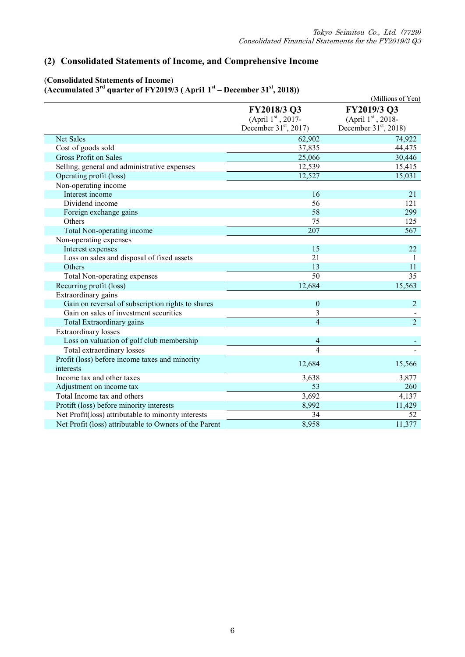### **(2) Consolidated Statements of Income, and Comprehensive Income**

#### (**Consolidated Statements of Income**) **(Accumulated 3rd quarter of FY2019/3 ( Apri1 1st – December 31st, 2018))**

| $\frac{1}{2}$                                               |                         | (Millions of Yen)       |
|-------------------------------------------------------------|-------------------------|-------------------------|
|                                                             | FY2018/3 Q3             | FY2019/3 Q3             |
|                                                             | (April 1st, 2017-       | (April $1st$ , 2018-    |
|                                                             | December $31st$ , 2017) | December $31st$ , 2018) |
| <b>Net Sales</b>                                            | 62,902                  | 74,922                  |
| Cost of goods sold                                          | 37,835                  | 44,475                  |
| <b>Gross Profit on Sales</b>                                | 25,066                  | 30,446                  |
| Selling, general and administrative expenses                | 12,539                  | 15,415                  |
| Operating profit (loss)                                     | 12,527                  | 15,031                  |
| Non-operating income                                        |                         |                         |
| Interest income                                             | 16                      | 21                      |
| Dividend income                                             | 56                      | 121                     |
| Foreign exchange gains                                      | 58                      | 299                     |
| Others                                                      | 75                      | 125                     |
| Total Non-operating income                                  | $\overline{207}$        | 567                     |
| Non-operating expenses                                      |                         |                         |
| Interest expenses                                           | 15                      | 22                      |
| Loss on sales and disposal of fixed assets                  | 21                      | 1                       |
| Others                                                      | 13                      | 11                      |
| Total Non-operating expenses                                | $\overline{50}$         | $\overline{35}$         |
| Recurring profit (loss)                                     | 12,684                  | 15,563                  |
| Extraordinary gains                                         |                         |                         |
| Gain on reversal of subscription rights to shares           | $\boldsymbol{0}$        | $\overline{2}$          |
| Gain on sales of investment securities                      | 3                       |                         |
| Total Extraordinary gains                                   | $\overline{4}$          | $\overline{2}$          |
| <b>Extraordinary losses</b>                                 |                         |                         |
| Loss on valuation of golf club membership                   | 4                       |                         |
| Total extraordinary losses                                  | $\overline{4}$          |                         |
| Profit (loss) before income taxes and minority<br>interests | 12,684                  | 15,566                  |
| Income tax and other taxes                                  | 3,638                   | 3,877                   |
| Adjustment on income tax                                    | 53                      | 260                     |
| Total Income tax and others                                 | 3,692                   | 4,137                   |
| Protift (loss) before minority interests                    | 8,992                   | 11,429                  |
| Net Profit(loss) attributable to minority interests         | 34                      | 52                      |
| Net Profit (loss) attributable to Owners of the Parent      | 8,958                   | 11,377                  |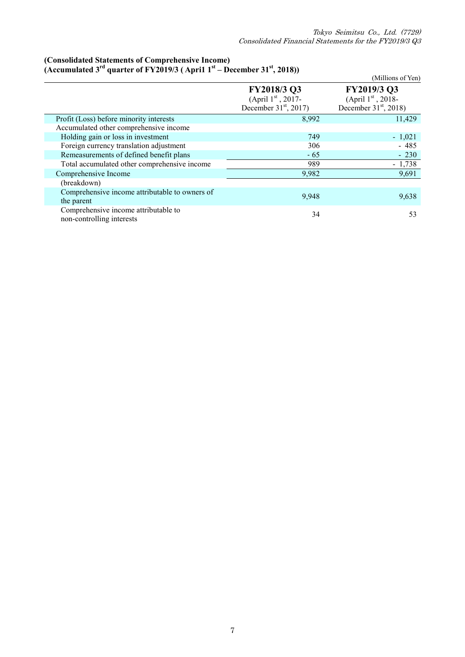#### **(Consolidated Statements of Comprehensive Income) (Accumulated 3rd quarter of FY2019/3 ( Apri1 1st – December 31st, 2018))**

|                                                |                         | (Millions of Yen)       |
|------------------------------------------------|-------------------------|-------------------------|
|                                                | FY2018/3 Q3             | FY2019/3 Q3             |
|                                                | (April $1st$ , 2017-    | (April $1st$ , 2018-    |
|                                                | December $31st$ , 2017) | December $31st$ , 2018) |
| Profit (Loss) before minority interests        | 8,992                   | 11,429                  |
| Accumulated other comprehensive income         |                         |                         |
| Holding gain or loss in investment             | 749                     | $-1,021$                |
| Foreign currency translation adjustment        | 306                     | $-485$                  |
| Remeasurements of defined benefit plans        | $-65$                   | $-230$                  |
| Total accumulated other comprehensive income   | 989                     | $-1,738$                |
| Comprehensive Income                           | 9,982                   | 9,691                   |
| (breakdown)                                    |                         |                         |
| Comprehensive income attributable to owners of | 9,948                   | 9,638                   |
| the parent                                     |                         |                         |
| Comprehensive income attributable to           | 34                      | 53                      |
| non-controlling interests                      |                         |                         |